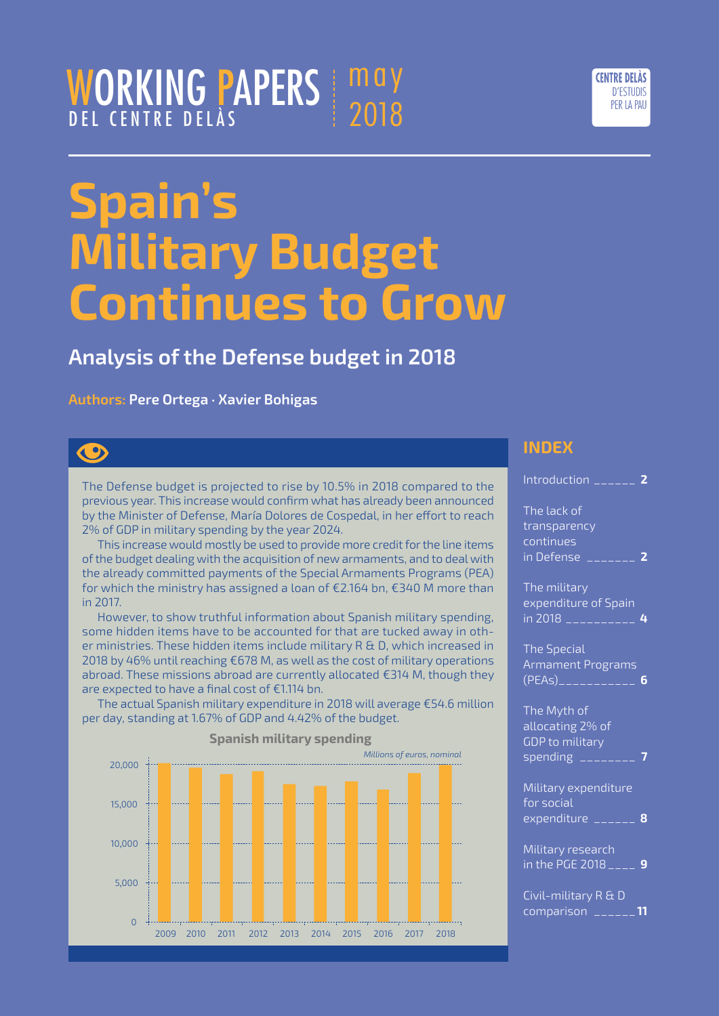## WORKING PAPERS DEL CENTRE DELÀS  $\mathbf{m}$ a 2018



## **Analysis of the Defense budget in 2018**

#### **Authors: Pere Ortega · Xavier Bohigas**

# $\bigcirc$

The Defense budget is projected to rise by 10.5% in 2018 compared to the previous year. This increase would confirm what has already been announced by the Minister of Defense, María Dolores de Cospedal, in her effort to reach 2% of GDP in military spending by the year 2024.

This increase would mostly be used to provide more credit for the line items of the budget dealing with the acquisition of new armaments, and to deal with the already committed payments of the Special Armaments Programs (PEA) for which the ministry has assigned a loan of €2.164 bn, €340 M more than in 2017.

However, to show truthful information about Spanish military spending, some hidden items have to be accounted for that are tucked away in other ministries. These hidden items include military R & D, which increased in 2018 by 46% until reaching €678 M, as well as the cost of military operations abroad. These missions abroad are currently allocated €314 M, though they are expected to have a final cost of €1.114 bn.

The actual Spanish military expenditure in 2018 will average €54.6 million per day, standing at 1.67% of GDP and 4.42% of the budget.



**INDEX**

[Introduction](#page-1-0) \_\_\_\_\_\_ **2**

| The lack of<br>transparency<br>continues<br>in Defense<br>_______ 2             |
|---------------------------------------------------------------------------------|
| The military<br>expenditure of Spain<br><u>in 2018 ___________</u>              |
| <b>The Special</b><br>Armament Programs<br>6                                    |
| The Myth of<br>allocating 2% of<br><b>GDP</b> to military<br>spending _________ |
| Military expenditure<br>for social<br>expenditure ______ 8                      |
| Military research<br>in the PGE 2018 $\overline{\phantom{0}}_{---}$<br>g        |
| Civil-military R & D<br>______11<br>comparison                                  |

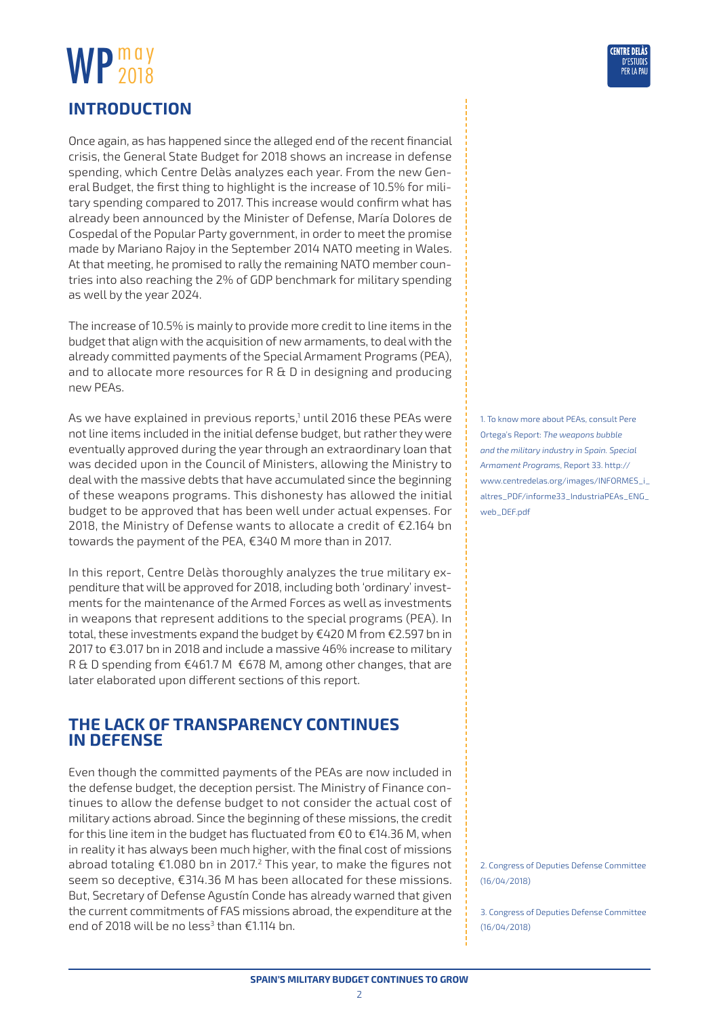## <span id="page-1-0"></span>**Introduction**

Once again, as has happened since the alleged end of the recent financial crisis, the General State Budget for 2018 shows an increase in defense spending, which Centre Delàs analyzes each year. From the new General Budget, the first thing to highlight is the increase of 10.5% for military spending compared to 2017. This increase would confirm what has already been announced by the Minister of Defense, María Dolores de Cospedal of the Popular Party government, in order to meet the promise made by Mariano Rajoy in the September 2014 NATO meeting in Wales. At that meeting, he promised to rally the remaining NATO member countries into also reaching the 2% of GDP benchmark for military spending as well by the year 2024.

The increase of 10.5% is mainly to provide more credit to line items in the budget that align with the acquisition of new armaments, to deal with the already committed payments of the Special Armament Programs (PEA), and to allocate more resources for R & D in designing and producing new PEAs.

As we have explained in previous reports,1 until 2016 these PEAs were not line items included in the initial defense budget, but rather they were eventually approved during the year through an extraordinary loan that was decided upon in the Council of Ministers, allowing the Ministry to deal with the massive debts that have accumulated since the beginning of these weapons programs. This dishonesty has allowed the initial budget to be approved that has been well under actual expenses. For 2018, the Ministry of Defense wants to allocate a credit of €2.164 bn towards the payment of the PEA, €340 M more than in 2017.

In this report, Centre Delàs thoroughly analyzes the true military expenditure that will be approved for 2018, including both 'ordinary' investments for the maintenance of the Armed Forces as well as investments in weapons that represent additions to the special programs (PEA). In total, these investments expand the budget by €420 M from €2.597 bn in 2017 to €3.017 bn in 2018 and include a massive 46% increase to military R & D spending from €461.7 M €678 M, among other changes, that are later elaborated upon different sections of this report.

## **The lack of transparency continues in Defense**

Even though the committed payments of the PEAs are now included in the defense budget, the deception persist. The Ministry of Finance continues to allow the defense budget to not consider the actual cost of military actions abroad. Since the beginning of these missions, the credit for this line item in the budget has fluctuated from €0 to €14.36 M, when in reality it has always been much higher, with the final cost of missions abroad totaling €1.080 bn in 2017.2 This year, to make the figures not seem so deceptive, €314.36 M has been allocated for these missions. But, Secretary of Defense Agustín Conde has already warned that given the current commitments of FAS missions abroad, the expenditure at the end of 2018 will be no less<sup>3</sup> than €1.114 bn.

1. To know more about PEAs, consult Pere Ortega's Report: *The weapons bubble and the military industry in Spain. Special Armament Programs*, Report 33. [http://](http://www.centredelas.org/images/INFORMES_i_altres_PDF/informe33_IndustriaPEAs_ENG_web_DEF.pdf) [www.centredelas.org/images/INFORMES\\_i\\_](http://www.centredelas.org/images/INFORMES_i_altres_PDF/informe33_IndustriaPEAs_ENG_web_DEF.pdf) [altres\\_PDF/informe33\\_IndustriaPEAs\\_ENG\\_](http://www.centredelas.org/images/INFORMES_i_altres_PDF/informe33_IndustriaPEAs_ENG_web_DEF.pdf) [web\\_DEF.pdf](http://www.centredelas.org/images/INFORMES_i_altres_PDF/informe33_IndustriaPEAs_ENG_web_DEF.pdf)

2. Congress of Deputies Defense Committee (16/04/2018)

3. Congress of Deputies Defense Committee (16/04/2018)

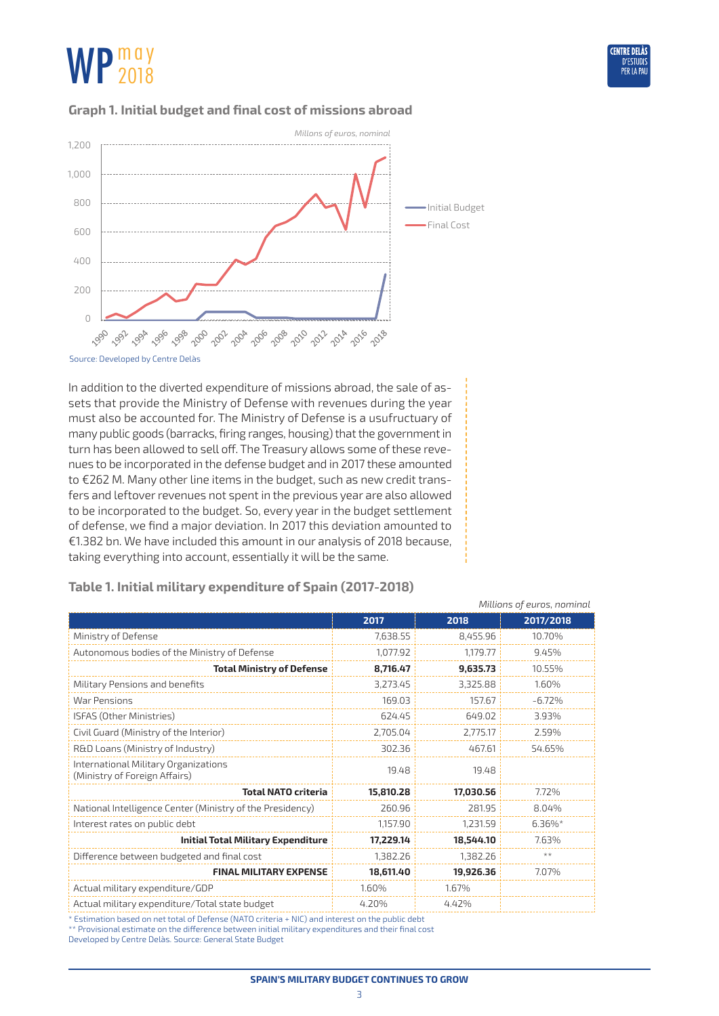

*Millions of euros, nominal*

#### **Graph 1. Initial budget and final cost of missions abroad**



Source: Developed by Centre Delàs

In addition to the diverted expenditure of missions abroad, the sale of assets that provide the Ministry of Defense with revenues during the year must also be accounted for. The Ministry of Defense is a usufructuary of many public goods (barracks, firing ranges, housing) that the government in turn has been allowed to sell off. The Treasury allows some of these revenues to be incorporated in the defense budget and in 2017 these amounted to €262 M. Many other line items in the budget, such as new credit transfers and leftover revenues not spent in the previous year are also allowed to be incorporated to the budget. So, every year in the budget settlement of defense, we find a major deviation. In 2017 this deviation amounted to €1.382 bn. We have included this amount in our analysis of 2018 because, taking everything into account, essentially it will be the same.

|                                                                       | 2017      | 2018      | 2017/2018 |
|-----------------------------------------------------------------------|-----------|-----------|-----------|
| Ministry of Defense                                                   | 7,638.55  | 8,455.96  | 10.70%    |
| Autonomous bodies of the Ministry of Defense                          | 1,077.92  | 1,179.77  | 9.45%     |
| <b>Total Ministry of Defense</b>                                      | 8,716.47  | 9,635.73  | 10.55%    |
| Military Pensions and benefits                                        | 3,273.45  | 3,325.88  | 1.60%     |
| War Pensions                                                          | 169.03    | 157.67    | $-6.72%$  |
| <b>ISFAS (Other Ministries)</b>                                       | 624.45    | 649.02    | 3.93%     |
| Civil Guard (Ministry of the Interior)                                | 2,705.04  | 2,775.17  | 2.59%     |
| R&D Loans (Ministry of Industry)                                      | 302.36    | 467.61    | 54.65%    |
| International Military Organizations<br>(Ministry of Foreign Affairs) | 19.48     | 19.48     |           |
| <b>Total NATO criteria</b>                                            | 15,810.28 | 17,030.56 | 7.72%     |
| National Intelligence Center (Ministry of the Presidency)             | 260.96    | 281.95    | 8.04%     |
| Interest rates on public debt                                         | 1,157.90  | 1,231.59  | $6.36\%*$ |
| Initial Total Military Expenditure                                    | 17,229.14 | 18,544.10 | 7.63%     |
| Difference between budgeted and final cost                            | 1,382.26  | 1,382.26  | $**$      |
| <b>FINAL MILITARY EXPENSE</b>                                         | 18,611.40 | 19,926.36 | 7.07%     |
| Actual military expenditure/GDP                                       | 1.60%     | 1.67%     |           |
| Actual military expenditure/Total state budget                        | 4.20%     | 4.42%     |           |

## **Table 1. Initial military expenditure of Spain (2017-2018)**

\* Estimation based on net total of Defense (NATO criteria + NIC) and interest on the public debt

\*\* Provisional estimate on the difference between initial military expenditures and their final cost

Developed by Centre Delàs. Source: General State Budget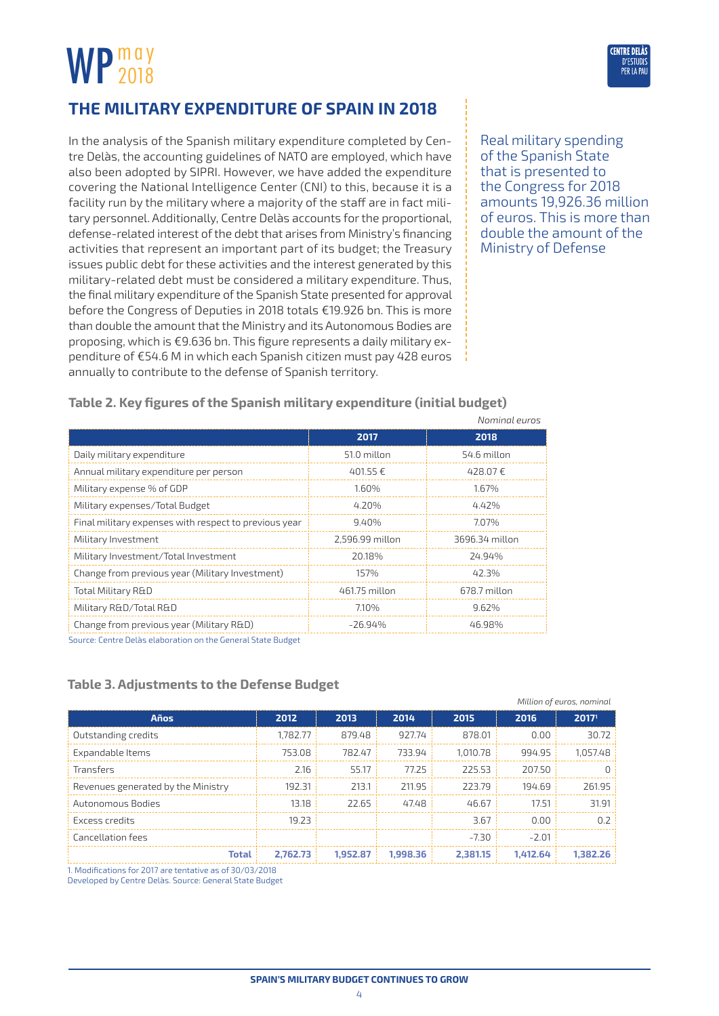# <span id="page-3-0"></span>WP 2018 2018



In the analysis of the Spanish military expenditure completed by Centre Delàs, the accounting guidelines of NATO are employed, which have also been adopted by SIPRI. However, we have added the expenditure covering the National Intelligence Center (CNI) to this, because it is a facility run by the military where a majority of the staff are in fact military personnel. Additionally, Centre Delàs accounts for the proportional, defense-related interest of the debt that arises from Ministry's financing activities that represent an important part of its budget; the Treasury issues public debt for these activities and the interest generated by this military-related debt must be considered a military expenditure. Thus, the final military expenditure of the Spanish State presented for approval before the Congress of Deputies in 2018 totals €19.926 bn. This is more than double the amount that the Ministry and its Autonomous Bodies are proposing, which is €9.636 bn. This figure represents a daily military expenditure of €54.6 M in which each Spanish citizen must pay 428 euros annually to contribute to the defense of Spanish territory.



**ENTRE DEI** 

*Million of euros, nominal*

**Table 2. Key figures of the Spanish military expenditure (initial budget)**

|                                                       |                 | Nominal euros  |
|-------------------------------------------------------|-----------------|----------------|
|                                                       | 2017            | 2018           |
| Daily military expenditure                            | 51.0 millon     | 54.6 millon    |
| Annual military expenditure per person                | 401.55 €        | 428.07€        |
| Military expense % of GDP                             | 1.60%           | 1.67%          |
| Military expenses/Total Budget                        | 4.20%           | 4.42%          |
| Final military expenses with respect to previous year | 9.40%           | 7.07%          |
| Military Investment                                   | 2.596.99 millon | 3696.34 millon |
| Military Investment/Total Investment                  | 20.18%          | 24.94%         |
| Change from previous year (Military Investment)       | 157%            | 42.3%          |
| Total Military R&D                                    | 461.75 millon   | 678.7 millon   |
| Military R&D/Total R&D                                | 7.10%           | 9.62%          |
| Change from previous year (Military R&D)              | $-26.94%$       | 46.98%         |

Source: Centre Delàs elaboration on the General State Budget

#### **Table 3. Adjustments to the Defense Budget**

|                                    |          |          |          |          |          | <i>IVIILIUITI UL EULUS, FIUITIIITUL</i> |
|------------------------------------|----------|----------|----------|----------|----------|-----------------------------------------|
| Años                               | 2012     | 2013     | 2014     | 2015     | 2016     | 2017 <sup>1</sup>                       |
| Outstanding credits                | 1.782.77 | 879.48   | 927.74   | 878.01   | 0.00     | 30.72                                   |
| Expandable Items                   | 753.08   | 782.47   | 733.94   | 1.010.78 | 994.95   | 1.057.48                                |
| <b>Transfers</b>                   | 2.16     | 55.17    | 77.25    | 225.53   | 207.50   |                                         |
| Revenues generated by the Ministry | 192.31   | 213.1    | 211.95   | 223.79   | 194.69   | 261.95                                  |
| Autonomous Bodies                  | 13.18    | 22.65    | 47.48    | 46.67    | 17.51    | 31.91                                   |
| Excess credits                     | 19.23    |          |          | 3.67     | 0.00     | 0.7                                     |
| Cancellation fees                  |          |          |          | -7.30    | $-2.01$  |                                         |
| <b>Total</b>                       | 2.762.73 | 1.952.87 | 1.998.36 | 2.381.15 | 1.412.64 | 1.382.26                                |

1. Modifications for 2017 are tentative as of 30/03/2018

Developed by Centre Delàs. Source: General State Budget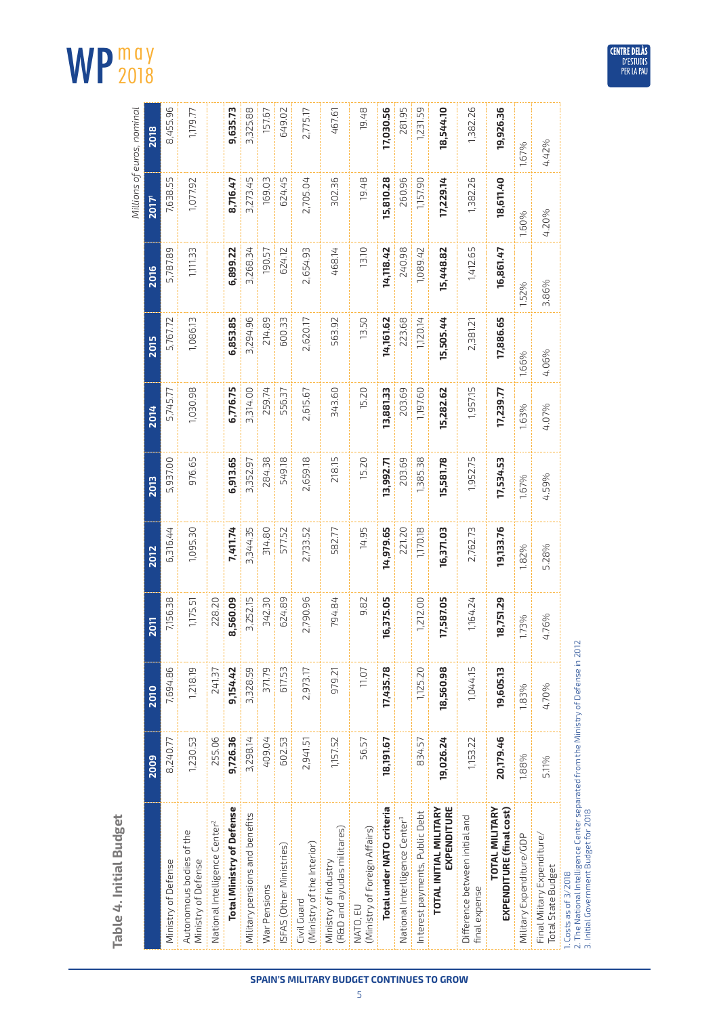# **Table 4. Initial Budget**

| nomine<br>י<br>גב |  |
|-------------------|--|
| ت<br>ا            |  |
| זמ הז             |  |

2018

WP 2018

| Table 4. Initial Budget                                                                                                                                  |           |           |             |           |             |           |             |           |             | Millions of euros, nominal |
|----------------------------------------------------------------------------------------------------------------------------------------------------------|-----------|-----------|-------------|-----------|-------------|-----------|-------------|-----------|-------------|----------------------------|
|                                                                                                                                                          | 2009      | 2010      | <b>2011</b> | 2012      | <b>2013</b> | 2014      | <b>2015</b> | 2016      | <b>Z017</b> | 2018                       |
| Ministry of Defense                                                                                                                                      | 8,240.77  | 7,694.86  | 7,156.38    | 6,316.44  | 5,937.00    | 5,745.77  | 5,767.72    | 5,787.89  | 7,638.55    | 8,455.96                   |
| Autonomous bodies of the<br>Ministry of Defense                                                                                                          | 1,230.53  | 1,218.19  | 1,175.51    | 1,095.30  | 976.65      | 1,030.98  | 1,086.13    | 1,111.33  | 1,077.92    | 1,179.77                   |
| National Intelligence Center <sup>2</sup>                                                                                                                | 255.06    | 241.37    | 228.20      |           |             |           |             |           |             |                            |
| <b>Total Ministry of Defense</b>                                                                                                                         | 9,726.36  | 9,154.42  | 8,560.09    | 7,411.74  | 6,913.65    | 6,776.75  | 6,853.85    | 6,899.22  | 8,716.47    | 9,635.73                   |
| Military pensions and benefits                                                                                                                           | 3,298.14  | 3,328.59  | 3,252.15    | 3,344.35  | 3,352.97    | 3,314.00  | 3,294.96    | 3,268.34  | 3,273.45    | 3,325.88                   |
| War Pensions                                                                                                                                             | 409.04    | 371.79    | 342.30      | 314.80    | 284.38      | 259.74    | 214.89      | 190.57    | 169.03      | 157.67                     |
| SFAS (Other Ministries)                                                                                                                                  | 602.53    | 617.53    | 624.89      | 577.52    | 549.18      | 556.37    | 600.33      | 624.12    | 624.45      | 649.02                     |
| (Ministry of the Interior)<br>Civil Guard                                                                                                                | 2,941.51  | 2,973.17  | 2,790.96    | 2,733.52  | 2,659.18    | 2,615.67  | 2,620.17    | 2,654.93  | 2,705.04    | 2,775.17                   |
| R&D and ayudas militares)<br>Ministry of Industry                                                                                                        | 1,157.52  | 979.21    | 794.84      | 582.77    | 218.15      | 343.60    | 563.92      | 468.14    | 302.36      | 467.61                     |
| Ministry of Foreign Affairs)<br>NATO, EU                                                                                                                 | 56.57     | 11.07     | 9.82        | 14.95     | 15.20       | 15.20     | 13.50       | 13.10     | 19.48       | 19.48                      |
| Total under NATO criteria                                                                                                                                | 18,191.67 | 17,435.78 | 16,375.05   | 14,979.65 | 13,992.71   | 13,881.33 | 14,161.62   | 14,118.42 | 15,810.28   | 17,030.56                  |
| National Interlligence Center <sup>3</sup>                                                                                                               |           |           |             | 221.20    | 203.69      | 203.69    | 223.68      | 240.98    | 260.96      | 281.95                     |
| Interest payments, Public Debt                                                                                                                           | 834.57    | 1,125.20  | 1,212.00    | 1,170.18  | 1,385.38    | 1,197.60  | 1,120.14    | 1,089.42  | 1,157.90    | 1,231.59                   |
| EXPENDITURE<br>TOTAL INITIAL MILITARY                                                                                                                    | 19,026.24 | 18,560.98 | 17,587.05   | 16,371.03 | 15,581.78   | 15,282.62 | 15,505.44   | 15,448.82 | 17,229.14   | 18,544.10                  |
| Difference between initial and<br>final expense                                                                                                          | 1,153.22  | 1,044.15  | 1,164.24    | 2,762.73  | 1,952.75    | 1,957.15  | 2,381.21    | 1,412.65  | 1,382.26    | 1,382.26                   |
| <b>TOTAL MILITARY</b><br>EXPENDITURE (final cost)                                                                                                        | 20,179.46 | 19,605.13 | 18,751.29   | 19,133.76 | 17,534.53   | 17,239.77 | 17,886.65   | 16,861.47 | 18,611.40   | 19,926.36                  |
| Military Expenditure/GDP                                                                                                                                 | 1.88%     | 1.83%     | 1.73%       | 1.82%     | 1.67%       | 1.63%     | 1.66%       | 1.52%     | 1.60%       | 1.67%                      |
| Final Miitary Expenditure/<br><b>Total State Budget</b>                                                                                                  | 5.11%     | 4.70%     | 4.76%       | 5.28%     | 4.59%       | 4.07%     | 4.06%       | 3.86%     | 4.20%       | 4.42%                      |
| 2. The National Intelligence Center separated from the Ministry of Defense in 2012<br>3. Initial Government Budget for 2018<br>$1.$ Costs as of $3/2018$ |           |           |             |           |             |           |             |           |             |                            |



**SPAIN'S MILITARY BUDGET CONTINUES TO GROW**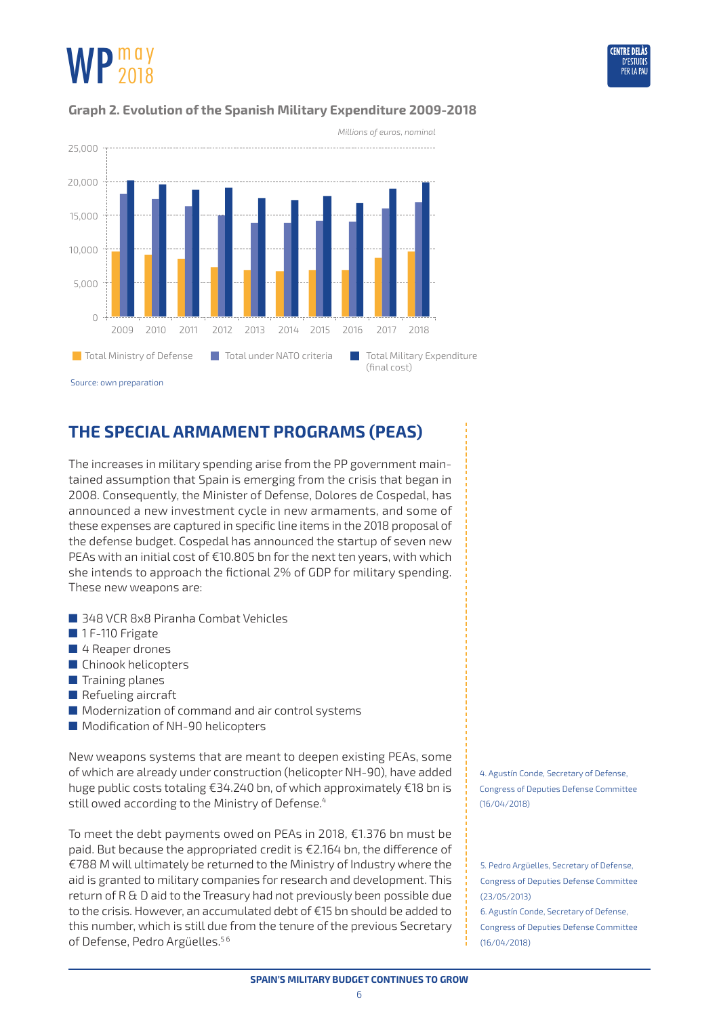

### <span id="page-5-0"></span>**Graph 2. Evolution of the Spanish Military Expenditure 2009-2018**



Source: own preparation

## **The Special Armament Programs (PEAs)**

The increases in military spending arise from the PP government maintained assumption that Spain is emerging from the crisis that began in 2008. Consequently, the Minister of Defense, Dolores de Cospedal, has announced a new investment cycle in new armaments, and some of these expenses are captured in specific line items in the 2018 proposal of the defense budget. Cospedal has announced the startup of seven new PEAs with an initial cost of €10.805 bn for the next ten years, with which she intends to approach the fictional 2% of GDP for military spending. These new weapons are:

- 348 VCR 8x8 Piranha Combat Vehicles
- 1 F-110 Frigate
- 4 Reaper drones
- Chinook helicopters
- Training planes
- Refueling aircraft
- Modernization of command and air control systems
- Modification of NH-90 helicopters

New weapons systems that are meant to deepen existing PEAs, some of which are already under construction (helicopter NH-90), have added huge public costs totaling €34.240 bn, of which approximately €18 bn is still owed according to the Ministry of Defense.<sup>4</sup>

To meet the debt payments owed on PEAs in 2018, €1.376 bn must be paid. But because the appropriated credit is €2.164 bn, the difference of €788 M will ultimately be returned to the Ministry of Industry where the aid is granted to military companies for research and development. This return of R & D aid to the Treasury had not previously been possible due to the crisis. However, an accumulated debt of €15 bn should be added to this number, which is still due from the tenure of the previous Secretary of Defense, Pedro Argüelles.<sup>56</sup>

4. Agustín Conde, Secretary of Defense, Congress of Deputies Defense Committee (16/04/2018)

5. Pedro Argüelles, Secretary of Defense, Congress of Deputies Defense Committee (23/05/2013)

6. Agustín Conde, Secretary of Defense, Congress of Deputies Defense Committee (16/04/2018)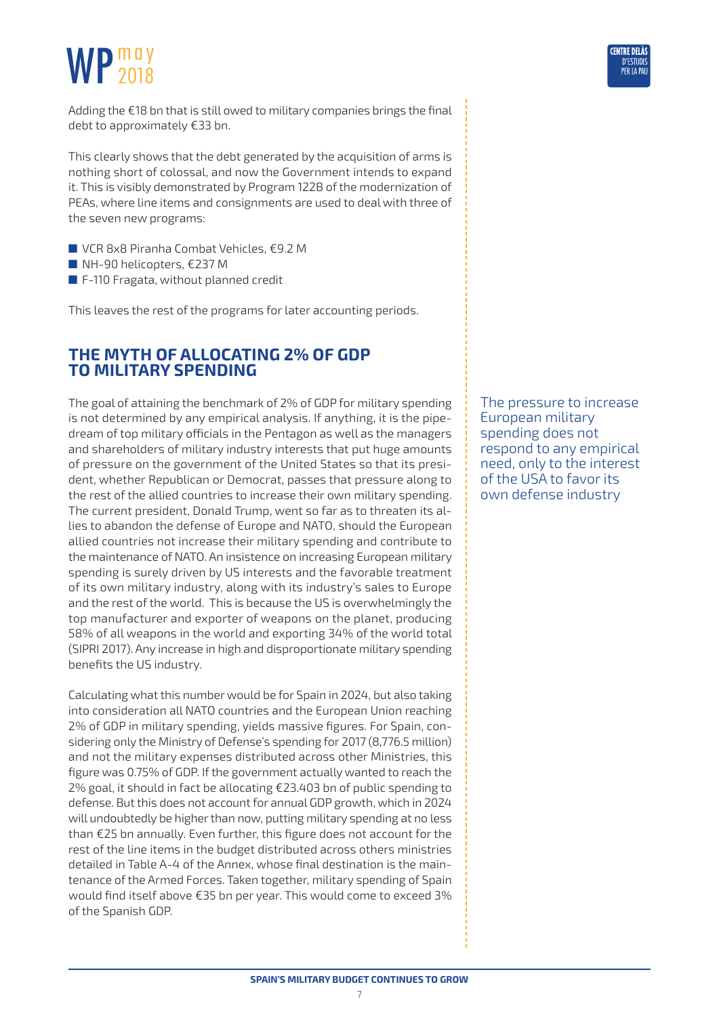<span id="page-6-0"></span>

This clearly shows that the debt generated by the acquisition of arms is nothing short of colossal, and now the Government intends to expand it. This is visibly demonstrated by Program 122B of the modernization of PEAs, where line items and consignments are used to deal with three of the seven new programs:

- VCR 8x8 Piranha Combat Vehicles, €9.2 M
- NH-90 helicopters, €237 M
- F-110 Fragata, without planned credit

This leaves the rest of the programs for later accounting periods.

## **The Myth of allocating 2% of GDP to military spending**

The goal of attaining the benchmark of 2% of GDP for military spending is not determined by any empirical analysis. If anything, it is the pipedream of top military officials in the Pentagon as well as the managers and shareholders of military industry interests that put huge amounts of pressure on the government of the United States so that its president, whether Republican or Democrat, passes that pressure along to the rest of the allied countries to increase their own military spending. The current president, Donald Trump, went so far as to threaten its allies to abandon the defense of Europe and NATO, should the European allied countries not increase their military spending and contribute to the maintenance of NATO. An insistence on increasing European military spending is surely driven by US interests and the favorable treatment of its own military industry, along with its industry's sales to Europe and the rest of the world. This is because the US is overwhelmingly the top manufacturer and exporter of weapons on the planet, producing 58% of all weapons in the world and exporting 34% of the world total (SIPRI 2017). Any increase in high and disproportionate military spending benefits the US industry.

Calculating what this number would be for Spain in 2024, but also taking into consideration all NATO countries and the European Union reaching 2% of GDP in military spending, yields massive figures. For Spain, considering only the Ministry of Defense's spending for 2017 (8,776.5 million) and not the military expenses distributed across other Ministries, this figure was 0.75% of GDP. If the government actually wanted to reach the 2% goal, it should in fact be allocating €23.403 bn of public spending to defense. But this does not account for annual GDP growth, which in 2024 will undoubtedly be higher than now, putting military spending at no less than €25 bn annually. Even further, this figure does not account for the rest of the line items in the budget distributed across others ministries detailed in Table A-4 of the Annex, whose final destination is the maintenance of the Armed Forces. Taken together, military spending of Spain would find itself above €35 bn per year. This would come to exceed 3% of the Spanish GDP.

The pressure to increase European military spending does not respond to any empirical need, only to the interest of the USA to favor its own defense industry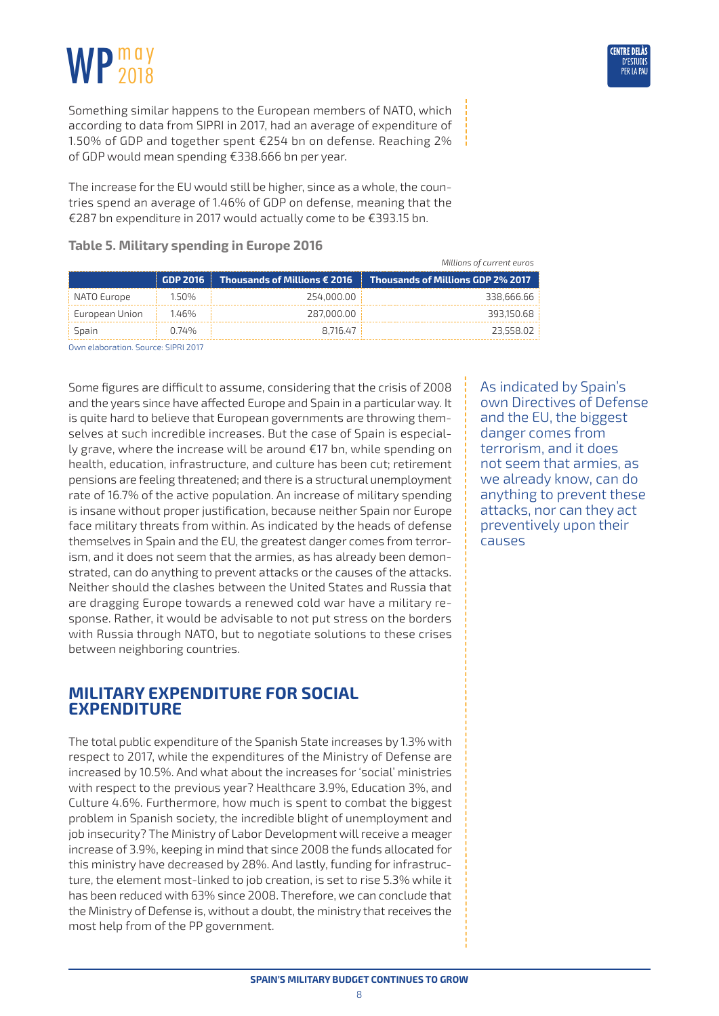<span id="page-7-0"></span>Something similar happens to the European members of NATO, which according to data from SIPRI in 2017, had an average of expenditure of 1.50% of GDP and together spent €254 bn on defense. Reaching 2% of GDP would mean spending €338.666 bn per year.

The increase for the EU would still be higher, since as a whole, the countries spend an average of 1.46% of GDP on defense, meaning that the €287 bn expenditure in 2017 would actually come to be €393.15 bn.

|                |           |                                       | controlled The Children College               |
|----------------|-----------|---------------------------------------|-----------------------------------------------|
|                | GDP 2016  | Thousands of Millions $\epsilon$ 2016 | $\parallel$ Thousands of Millions GDP 2% 2017 |
| NATO Europe    | 1.50%     | 254.000.00                            | 338.666.66                                    |
| European Union | 1.46%     | 287,000,00                            | 393.150.68                                    |
| <b>Spain</b>   | 0.74%     | 8.716.47                              | 23.558.02                                     |
|                | _________ |                                       |                                               |

**Table 5. Military spending in Europe 2016**

Own elaboration. Source: SIPRI 2017

Some figures are difficult to assume, considering that the crisis of 2008 and the years since have affected Europe and Spain in a particular way. It is quite hard to believe that European governments are throwing themselves at such incredible increases. But the case of Spain is especially grave, where the increase will be around €17 bn, while spending on health, education, infrastructure, and culture has been cut; retirement pensions are feeling threatened; and there is a structural unemployment rate of 16.7% of the active population. An increase of military spending is insane without proper justification, because neither Spain nor Europe face military threats from within. As indicated by the heads of defense themselves in Spain and the EU, the greatest danger comes from terrorism, and it does not seem that the armies, as has already been demonstrated, can do anything to prevent attacks or the causes of the attacks. Neither should the clashes between the United States and Russia that are dragging Europe towards a renewed cold war have a military response. Rather, it would be advisable to not put stress on the borders with Russia through NATO, but to negotiate solutions to these crises between neighboring countries.

## **Military expenditure for social expenditure**

The total public expenditure of the Spanish State increases by 1.3% with respect to 2017, while the expenditures of the Ministry of Defense are increased by 10.5%. And what about the increases for 'social' ministries with respect to the previous year? Healthcare 3.9%, Education 3%, and Culture 4.6%. Furthermore, how much is spent to combat the biggest problem in Spanish society, the incredible blight of unemployment and job insecurity? The Ministry of Labor Development will receive a meager increase of 3.9%, keeping in mind that since 2008 the funds allocated for this ministry have decreased by 28%. And lastly, funding for infrastructure, the element most-linked to job creation, is set to rise 5.3% while it has been reduced with 63% since 2008. Therefore, we can conclude that the Ministry of Defense is, without a doubt, the ministry that receives the most help from of the PP government.

As indicated by Spain's own Directives of Defense and the EU, the biggest danger comes from terrorism, and it does not seem that armies, as we already know, can do anything to prevent these attacks, nor can they act preventively upon their causes

*Millions of current euros*

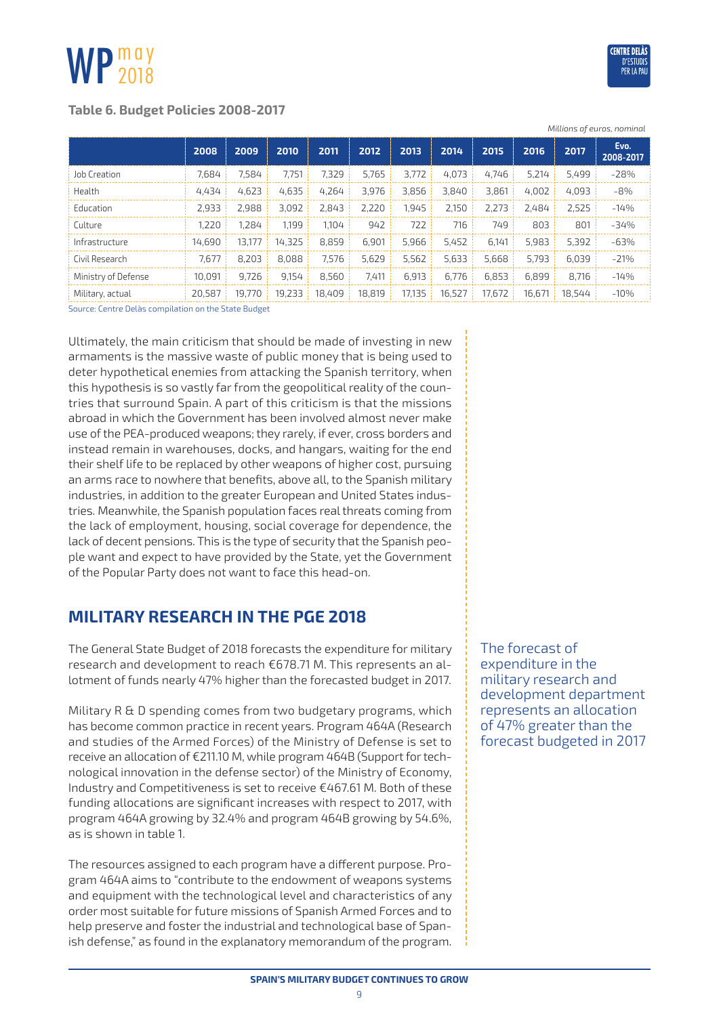### <span id="page-8-0"></span>**Table 6. Budget Policies 2008-2017**

|                     |        |        |        |        |        |        |        |        |        |        | Millions of euros, nominal |
|---------------------|--------|--------|--------|--------|--------|--------|--------|--------|--------|--------|----------------------------|
|                     | 2008   | 2009   | 2010   | 2011   | 2012   | 2013   | 2014   | 2015   | 2016   | 2017   | Evo.<br>2008-2017          |
| Job Creation        | 7.684  | 7.584  | 7.751  | 7.329  | 5,765  | 3.772  | 4.073  | 4.746  | 5.214  | 5.499  | $-28%$                     |
| Health              | 4,434  | 4.623  | 4.635  | 4.264  | 3,976  | 3,856  | 3.840  | 3,861  | 4.002  | 4.093  | $-8%$                      |
| Education           | 2.933  | 2.988  | 3.092  | 2.843  | 2.220  | 1.945  | 2.150  | 2.273  | 2.484  | 2.525  | $-14%$                     |
| Culture             | 1.220  | 1.284  | 1.199  | 1.104  | 942    | 722    | 716    | 749    | 803    | 801    | $-34%$                     |
| Infrastructure      | 14,690 | 13,177 | 14.325 | 8.859  | 6,901  | 5,966  | 5,452  | 6,141  | 5,983  | 5,392  | $-63%$                     |
| Civil Research      | 7.677  | 8.203  | 8.088  | 7.576  | 5.629  | 5.562  | 5.633  | 5.668  | 5.793  | 6.039  | $-21%$                     |
| Ministry of Defense | 10.091 | 9.726  | 9,154  | 8.560  | 7.411  | 6,913  | 6.776  | 6.853  | 6.899  | 8.716  | $-14%$                     |
| Military, actual    | 20.587 | 19,770 | 19,233 | 18,409 | 18,819 | 17,135 | 16,527 | 17,672 | 16,671 | 18.544 | $-10%$                     |

Source: Centre Delàs compilation on the State Budget

Ultimately, the main criticism that should be made of investing in new armaments is the massive waste of public money that is being used to deter hypothetical enemies from attacking the Spanish territory, when this hypothesis is so vastly far from the geopolitical reality of the countries that surround Spain. A part of this criticism is that the missions abroad in which the Government has been involved almost never make use of the PEA-produced weapons; they rarely, if ever, cross borders and instead remain in warehouses, docks, and hangars, waiting for the end their shelf life to be replaced by other weapons of higher cost, pursuing an arms race to nowhere that benefits, above all, to the Spanish military industries, in addition to the greater European and United States industries. Meanwhile, the Spanish population faces real threats coming from the lack of employment, housing, social coverage for dependence, the lack of decent pensions. This is the type of security that the Spanish people want and expect to have provided by the State, yet the Government of the Popular Party does not want to face this head-on.

## **Military research in the PGE 2018**

The General State Budget of 2018 forecasts the expenditure for military research and development to reach €678.71 M. This represents an allotment of funds nearly 47% higher than the forecasted budget in 2017.

Military R & D spending comes from two budgetary programs, which has become common practice in recent years. Program 464A (Research and studies of the Armed Forces) of the Ministry of Defense is set to receive an allocation of €211.10 M, while program 464B (Support for technological innovation in the defense sector) of the Ministry of Economy, Industry and Competitiveness is set to receive €467.61 M. Both of these funding allocations are significant increases with respect to 2017, with program 464A growing by 32.4% and program 464B growing by 54.6%, as is shown in table 1.

The resources assigned to each program have a different purpose. Program 464A aims to "contribute to the endowment of weapons systems and equipment with the technological level and characteristics of any order most suitable for future missions of Spanish Armed Forces and to help preserve and foster the industrial and technological base of Spanish defense," as found in the explanatory memorandum of the program.

The forecast of expenditure in the military research and development department represents an allocation of 47% greater than the forecast budgeted in 2017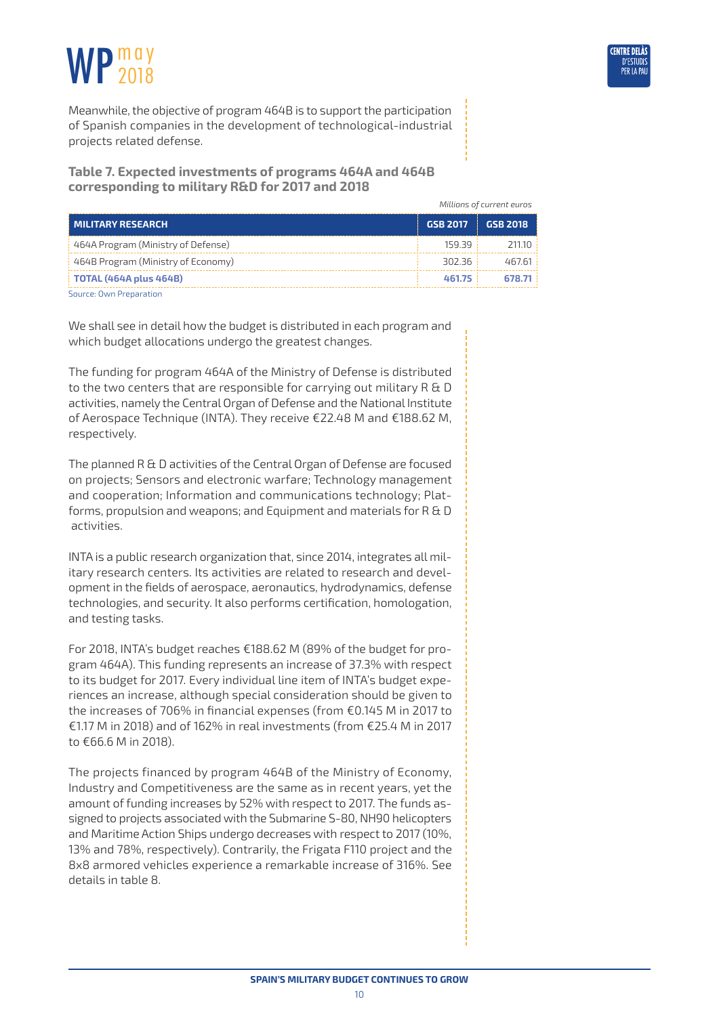

Meanwhile, the objective of program 464B is to support the participation of Spanish companies in the development of technological-industrial projects related defense.

**Table 7. Expected investments of programs 464A and 464B corresponding to military R&D for 2017 and 2018**

*Millions of current euros*

| MILITARY RESEARCH                    | GSB 2017     | GSB 2018 |
|--------------------------------------|--------------|----------|
| 464A Program (Ministry of Defense)   | $159.39 \pm$ | 211.10   |
| 464B Program (Ministry of Economy)   | 302.36 !     | 467.61   |
| $\frac{1}{2}$ TOTAL (464A plus 464B) | 461.75       | 678.71   |
| Source: Own Preparation              |              |          |

We shall see in detail how the budget is distributed in each program and which budget allocations undergo the greatest changes.

The funding for program 464A of the Ministry of Defense is distributed to the two centers that are responsible for carrying out military R & D activities, namely the Central Organ of Defense and the National Institute of Aerospace Technique (INTA). They receive €22.48 M and €188.62 M, respectively.

The planned R & D activities of the Central Organ of Defense are focused on projects; Sensors and electronic warfare; Technology management and cooperation; Information and communications technology; Platforms, propulsion and weapons; and Equipment and materials for R & D activities.

INTA is a public research organization that, since 2014, integrates all military research centers. Its activities are related to research and development in the fields of aerospace, aeronautics, hydrodynamics, defense technologies, and security. It also performs certification, homologation, and testing tasks.

For 2018, INTA's budget reaches €188.62 M (89% of the budget for program 464A). This funding represents an increase of 37.3% with respect to its budget for 2017. Every individual line item of INTA's budget experiences an increase, although special consideration should be given to the increases of 706% in financial expenses (from €0.145 M in 2017 to €1.17 M in 2018) and of 162% in real investments (from €25.4 M in 2017 to €66.6 M in 2018).

The projects financed by program 464B of the Ministry of Economy, Industry and Competitiveness are the same as in recent years, yet the amount of funding increases by 52% with respect to 2017. The funds assigned to projects associated with the Submarine S-80, NH90 helicopters and Maritime Action Ships undergo decreases with respect to 2017 (10%, 13% and 78%, respectively). Contrarily, the Frigata F110 project and the 8x8 armored vehicles experience a remarkable increase of 316%. See details in table 8.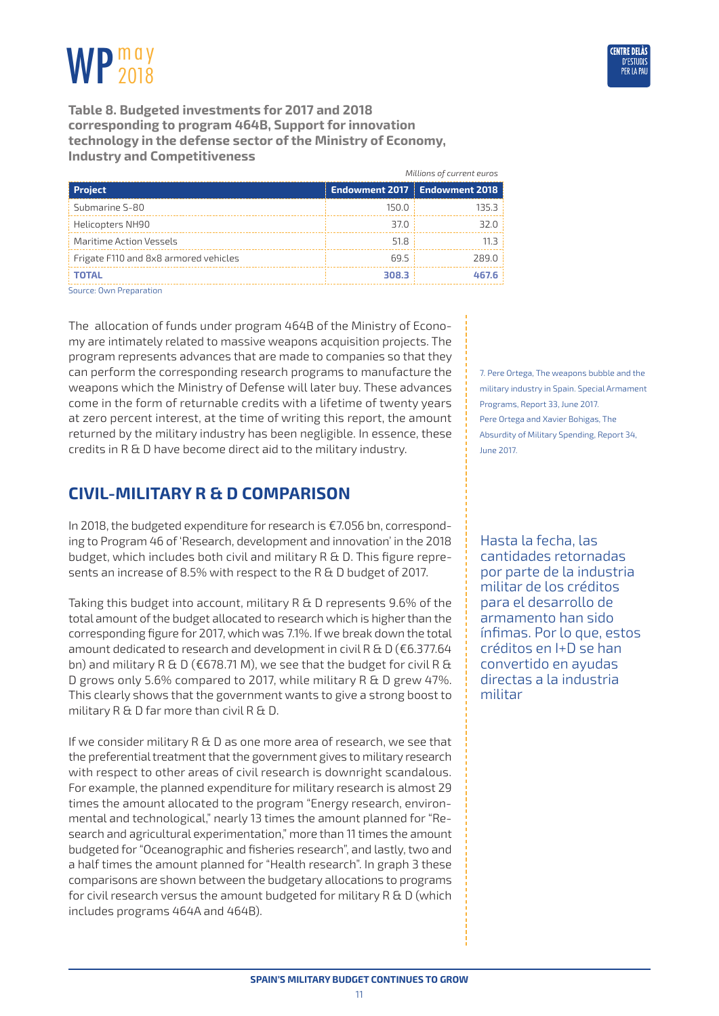

<span id="page-10-0"></span>**Table 8. Budgeted investments for 2017 and 2018 corresponding to program 464B, Support for innovation technology in the defense sector of the Ministry of Economy, Industry and Competitiveness**

|                                       |       | Millions of current euros       |
|---------------------------------------|-------|---------------------------------|
| <b>Project</b>                        |       | Endowment 2017   Endowment 2018 |
| Submarine S-80                        | 150.0 | 135.3 :                         |
| Helicopters NH90                      | 37.O  | 32.O I                          |
| Maritime Action Vessels               | 51.8  | 11 R I                          |
| Frigate F110 and 8x8 armored vehicles | 69.5  | 289.0                           |
| <b>TOTAL</b>                          | 308.3 | 467.6                           |
| $\sim$ $\sim$ $\sim$ $\sim$ $\sim$    |       |                                 |

Source: Own Preparation

The allocation of funds under program 464B of the Ministry of Economy are intimately related to massive weapons acquisition projects. The program represents advances that are made to companies so that they can perform the corresponding research programs to manufacture the weapons which the Ministry of Defense will later buy. These advances come in the form of returnable credits with a lifetime of twenty years at zero percent interest, at the time of writing this report, the amount returned by the military industry has been negligible. In essence, these credits in R & D have become direct aid to the military industry.

## **Civil-military R & D comparison**

In 2018, the budgeted expenditure for research is €7.056 bn, corresponding to Program 46 of 'Research, development and innovation' in the 2018 budget, which includes both civil and military R & D. This figure represents an increase of 8.5% with respect to the R & D budget of 2017.

Taking this budget into account, military R & D represents 9.6% of the total amount of the budget allocated to research which is higher than the corresponding figure for 2017, which was 7.1%. If we break down the total amount dedicated to research and development in civil R & D ( $\epsilon$ 6.377.64 bn) and military R & D ( $\epsilon$ 678.71 M), we see that the budget for civil R & D grows only 5.6% compared to 2017, while military R & D grew 47%. This clearly shows that the government wants to give a strong boost to military R & D far more than civil R & D.

If we consider military R & D as one more area of research, we see that the preferential treatment that the government gives to military research with respect to other areas of civil research is downright scandalous. For example, the planned expenditure for military research is almost 29 times the amount allocated to the program "Energy research, environmental and technological," nearly 13 times the amount planned for "Research and agricultural experimentation," more than 11 times the amount budgeted for "Oceanographic and fisheries research", and lastly, two and a half times the amount planned for "Health research". In graph 3 these comparisons are shown between the budgetary allocations to programs for civil research versus the amount budgeted for military R & D (which includes programs 464A and 464B).

7. Pere Ortega, The weapons bubble and the military industry in Spain. Special Armament Programs, Report 33, June 2017. Pere Ortega and Xavier Bohigas, The Absurdity of Military Spending, Report 34, June 2017.

Hasta la fecha, las cantidades retornadas por parte de la industria militar de los créditos para el desarrollo de armamento han sido ínfimas. Por lo que, estos créditos en I+D se han convertido en ayudas directas a la industria militar